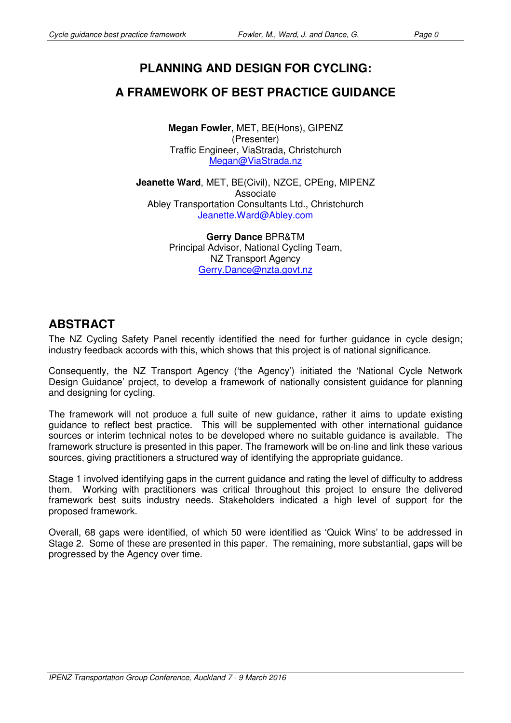# **PLANNING AND DESIGN FOR CYCLING:**

## **A FRAMEWORK OF BEST PRACTICE GUIDANCE**

**Megan Fowler**, MET, BE(Hons), GIPENZ (Presenter) Traffic Engineer, ViaStrada, Christchurch Megan@ViaStrada.nz

**Jeanette Ward**, MET, BE(Civil), NZCE, CPEng, MIPENZ Associate Abley Transportation Consultants Ltd., Christchurch Jeanette.Ward@Abley.com

> **Gerry Dance** BPR&TM Principal Advisor, National Cycling Team, NZ Transport Agency Gerry.Dance@nzta.govt.nz

## **ABSTRACT**

The NZ Cycling Safety Panel recently identified the need for further guidance in cycle design; industry feedback accords with this, which shows that this project is of national significance.

Consequently, the NZ Transport Agency ('the Agency') initiated the 'National Cycle Network Design Guidance' project, to develop a framework of nationally consistent guidance for planning and designing for cycling.

The framework will not produce a full suite of new guidance, rather it aims to update existing guidance to reflect best practice. This will be supplemented with other international guidance sources or interim technical notes to be developed where no suitable guidance is available. The framework structure is presented in this paper. The framework will be on-line and link these various sources, giving practitioners a structured way of identifying the appropriate guidance.

Stage 1 involved identifying gaps in the current guidance and rating the level of difficulty to address them. Working with practitioners was critical throughout this project to ensure the delivered framework best suits industry needs. Stakeholders indicated a high level of support for the proposed framework.

Overall, 68 gaps were identified, of which 50 were identified as 'Quick Wins' to be addressed in Stage 2. Some of these are presented in this paper. The remaining, more substantial, gaps will be progressed by the Agency over time.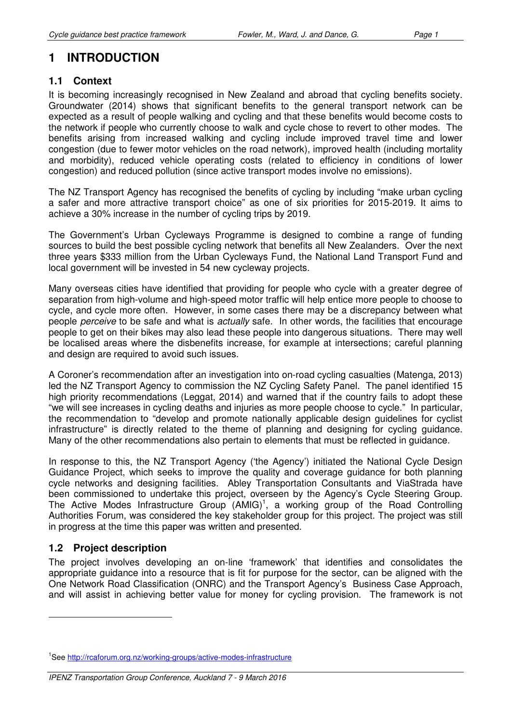# **1 INTRODUCTION**

### **1.1 Context**

It is becoming increasingly recognised in New Zealand and abroad that cycling benefits society. Groundwater (2014) shows that significant benefits to the general transport network can be expected as a result of people walking and cycling and that these benefits would become costs to the network if people who currently choose to walk and cycle chose to revert to other modes. The benefits arising from increased walking and cycling include improved travel time and lower congestion (due to fewer motor vehicles on the road network), improved health (including mortality and morbidity), reduced vehicle operating costs (related to efficiency in conditions of lower congestion) and reduced pollution (since active transport modes involve no emissions).

The NZ Transport Agency has recognised the benefits of cycling by including "make urban cycling a safer and more attractive transport choice" as one of six priorities for 2015-2019. It aims to achieve a 30% increase in the number of cycling trips by 2019.

The Government's Urban Cycleways Programme is designed to combine a range of funding sources to build the best possible cycling network that benefits all New Zealanders. Over the next three years \$333 million from the Urban Cycleways Fund, the National Land Transport Fund and local government will be invested in 54 new cycleway projects.

Many overseas cities have identified that providing for people who cycle with a greater degree of separation from high-volume and high-speed motor traffic will help entice more people to choose to cycle, and cycle more often. However, in some cases there may be a discrepancy between what people *perceive* to be safe and what is *actually* safe. In other words, the facilities that encourage people to get on their bikes may also lead these people into dangerous situations. There may well be localised areas where the disbenefits increase, for example at intersections; careful planning and design are required to avoid such issues.

A Coroner's recommendation after an investigation into on-road cycling casualties (Matenga, 2013) led the NZ Transport Agency to commission the NZ Cycling Safety Panel. The panel identified 15 high priority recommendations (Leggat, 2014) and warned that if the country fails to adopt these "we will see increases in cycling deaths and injuries as more people choose to cycle." In particular, the recommendation to "develop and promote nationally applicable design guidelines for cyclist infrastructure" is directly related to the theme of planning and designing for cycling guidance. Many of the other recommendations also pertain to elements that must be reflected in guidance.

In response to this, the NZ Transport Agency ('the Agency') initiated the National Cycle Design Guidance Project, which seeks to improve the quality and coverage guidance for both planning cycle networks and designing facilities. Abley Transportation Consultants and ViaStrada have been commissioned to undertake this project, overseen by the Agency's Cycle Steering Group. The Active Modes Infrastructure Group  $(AMIG)^1$ , a working group of the Road Controlling Authorities Forum, was considered the key stakeholder group for this project. The project was still in progress at the time this paper was written and presented.

### **1.2 Project description**

 $\overline{a}$ 

The project involves developing an on-line 'framework' that identifies and consolidates the appropriate guidance into a resource that is fit for purpose for the sector, can be aligned with the One Network Road Classification (ONRC) and the Transport Agency's Business Case Approach, and will assist in achieving better value for money for cycling provision. The framework is not

<sup>&</sup>lt;sup>1</sup>See http://rcaforum.org.nz/working-groups/active-modes-infrastructure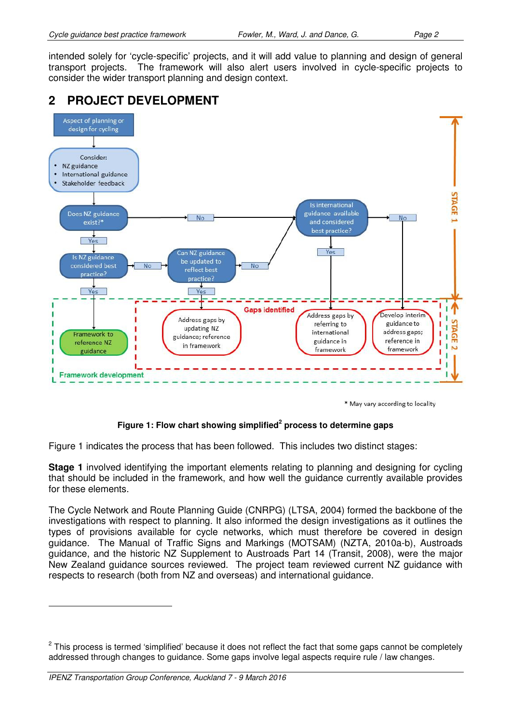intended solely for 'cycle-specific' projects, and it will add value to planning and design of general transport projects. The framework will also alert users involved in cycle-specific projects to consider the wider transport planning and design context.

## **2 PROJECT DEVELOPMENT**



\* May vary according to locality

#### **Figure 1: Flow chart showing simplified<sup>2</sup> process to determine gaps**

Figure 1 indicates the process that has been followed. This includes two distinct stages:

**Stage 1** involved identifying the important elements relating to planning and designing for cycling that should be included in the framework, and how well the guidance currently available provides for these elements.

The Cycle Network and Route Planning Guide (CNRPG) (LTSA, 2004) formed the backbone of the investigations with respect to planning. It also informed the design investigations as it outlines the types of provisions available for cycle networks, which must therefore be covered in design guidance. The Manual of Traffic Signs and Markings (MOTSAM) (NZTA, 2010a-b), Austroads guidance, and the historic NZ Supplement to Austroads Part 14 (Transit, 2008), were the major New Zealand guidance sources reviewed. The project team reviewed current NZ guidance with respects to research (both from NZ and overseas) and international guidance.

 $\overline{a}$ 

<sup>&</sup>lt;sup>2</sup> This process is termed 'simplified' because it does not reflect the fact that some gaps cannot be completely addressed through changes to guidance. Some gaps involve legal aspects require rule / law changes.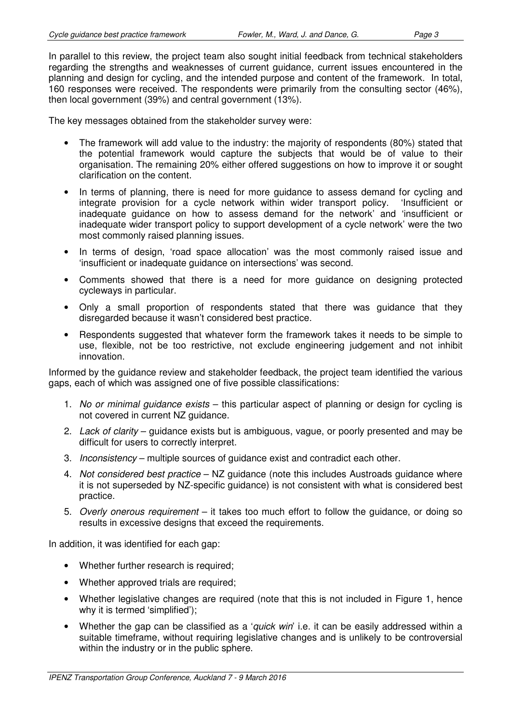In parallel to this review, the project team also sought initial feedback from technical stakeholders regarding the strengths and weaknesses of current guidance, current issues encountered in the planning and design for cycling, and the intended purpose and content of the framework. In total, 160 responses were received. The respondents were primarily from the consulting sector (46%), then local government (39%) and central government (13%).

The key messages obtained from the stakeholder survey were:

- The framework will add value to the industry: the majority of respondents (80%) stated that the potential framework would capture the subjects that would be of value to their organisation. The remaining 20% either offered suggestions on how to improve it or sought clarification on the content.
- In terms of planning, there is need for more guidance to assess demand for cycling and integrate provision for a cycle network within wider transport policy. 'Insufficient or inadequate guidance on how to assess demand for the network' and 'insufficient or inadequate wider transport policy to support development of a cycle network' were the two most commonly raised planning issues.
- In terms of design, 'road space allocation' was the most commonly raised issue and 'insufficient or inadequate guidance on intersections' was second.
- Comments showed that there is a need for more guidance on designing protected cycleways in particular.
- Only a small proportion of respondents stated that there was guidance that they disregarded because it wasn't considered best practice.
- Respondents suggested that whatever form the framework takes it needs to be simple to use, flexible, not be too restrictive, not exclude engineering judgement and not inhibit innovation.

Informed by the guidance review and stakeholder feedback, the project team identified the various gaps, each of which was assigned one of five possible classifications:

- 1. No or minimal quidance exists this particular aspect of planning or design for cycling is not covered in current NZ guidance.
- 2. Lack of clarity quidance exists but is ambiguous, vague, or poorly presented and may be difficult for users to correctly interpret.
- 3. Inconsistency multiple sources of guidance exist and contradict each other.
- 4. Not considered best practice NZ guidance (note this includes Austroads guidance where it is not superseded by NZ-specific guidance) is not consistent with what is considered best practice.
- 5. Overly onerous requirement it takes too much effort to follow the guidance, or doing so results in excessive designs that exceed the requirements.

In addition, it was identified for each gap:

- Whether further research is required;
- Whether approved trials are required;
- Whether legislative changes are required (note that this is not included in Figure 1, hence why it is termed 'simplified'):
- Whether the gap can be classified as a '*quick win*' i.e. it can be easily addressed within a suitable timeframe, without requiring legislative changes and is unlikely to be controversial within the industry or in the public sphere.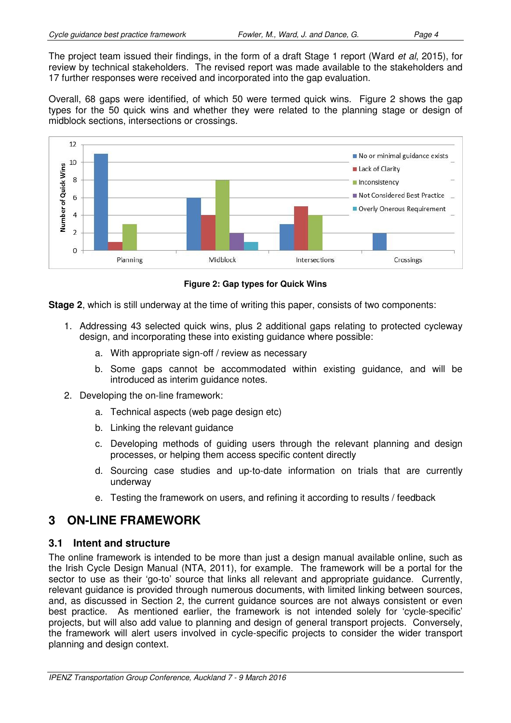The project team issued their findings, in the form of a draft Stage 1 report (Ward *et al*, 2015), for review by technical stakeholders. The revised report was made available to the stakeholders and 17 further responses were received and incorporated into the gap evaluation.

Overall, 68 gaps were identified, of which 50 were termed quick wins. Figure 2 shows the gap types for the 50 quick wins and whether they were related to the planning stage or design of midblock sections, intersections or crossings.



**Figure 2: Gap types for Quick Wins** 

**Stage 2**, which is still underway at the time of writing this paper, consists of two components:

- 1. Addressing 43 selected quick wins, plus 2 additional gaps relating to protected cycleway design, and incorporating these into existing guidance where possible:
	- a. With appropriate sign-off / review as necessary
	- b. Some gaps cannot be accommodated within existing guidance, and will be introduced as interim guidance notes.
- 2. Developing the on-line framework:
	- a. Technical aspects (web page design etc)
	- b. Linking the relevant guidance
	- c. Developing methods of guiding users through the relevant planning and design processes, or helping them access specific content directly
	- d. Sourcing case studies and up-to-date information on trials that are currently underway
	- e. Testing the framework on users, and refining it according to results / feedback

## **3 ON-LINE FRAMEWORK**

### **3.1 Intent and structure**

The online framework is intended to be more than just a design manual available online, such as the Irish Cycle Design Manual (NTA, 2011), for example. The framework will be a portal for the sector to use as their 'go-to' source that links all relevant and appropriate guidance. Currently, relevant guidance is provided through numerous documents, with limited linking between sources, and, as discussed in Section 2, the current guidance sources are not always consistent or even best practice. As mentioned earlier, the framework is not intended solely for 'cycle-specific' projects, but will also add value to planning and design of general transport projects. Conversely, the framework will alert users involved in cycle-specific projects to consider the wider transport planning and design context.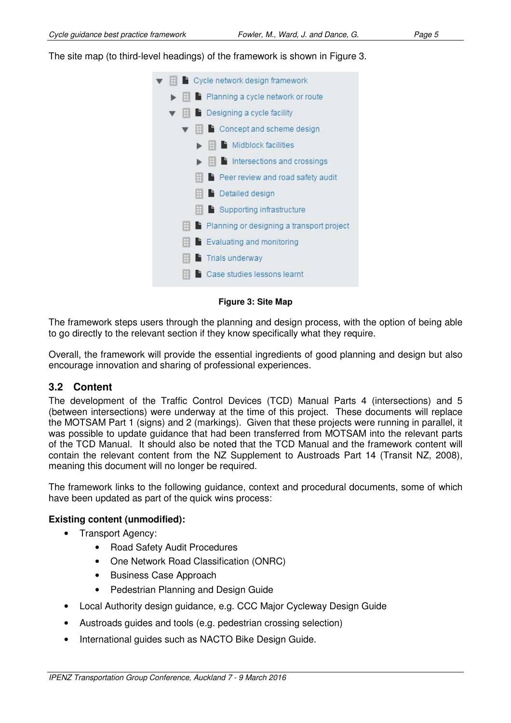The site map (to third-level headings) of the framework is shown in Figure 3.

|  | Cycle network design framework                                         |
|--|------------------------------------------------------------------------|
|  | $\blacktriangleright$ $\blacksquare$ Planning a cycle network or route |
|  | $\blacktriangledown$ $\blacktriangleright$ Designing a cycle facility  |
|  | $\blacktriangleright$ $\blacksquare$ Concept and scheme design         |
|  | $\blacktriangleright$ $\parallel$ $\parallel$ Midblock facilities      |
|  | $\blacktriangleright$ $\blacksquare$ Intersections and crossings       |
|  | $\parallel$ $\parallel$ Peer review and road safety audit              |
|  | <b>E</b> Detailed design                                               |
|  | $\blacksquare$ Supporting infrastructure                               |
|  | Planning or designing a transport project                              |
|  | $\mathbb{H}$ Evaluating and monitoring                                 |
|  | <b>Trials underway</b>                                                 |
|  | Case studies lessons learnt                                            |
|  |                                                                        |

**Figure 3: Site Map** 

The framework steps users through the planning and design process, with the option of being able to go directly to the relevant section if they know specifically what they require.

Overall, the framework will provide the essential ingredients of good planning and design but also encourage innovation and sharing of professional experiences.

#### **3.2 Content**

The development of the Traffic Control Devices (TCD) Manual Parts 4 (intersections) and 5 (between intersections) were underway at the time of this project. These documents will replace the MOTSAM Part 1 (signs) and 2 (markings). Given that these projects were running in parallel, it was possible to update guidance that had been transferred from MOTSAM into the relevant parts of the TCD Manual. It should also be noted that the TCD Manual and the framework content will contain the relevant content from the NZ Supplement to Austroads Part 14 (Transit NZ, 2008), meaning this document will no longer be required.

The framework links to the following guidance, context and procedural documents, some of which have been updated as part of the quick wins process:

#### **Existing content (unmodified):**

- Transport Agency:
	- Road Safety Audit Procedures
	- One Network Road Classification (ONRC)
	- Business Case Approach
	- Pedestrian Planning and Design Guide
- Local Authority design guidance, e.g. CCC Major Cycleway Design Guide
- Austroads guides and tools (e.g. pedestrian crossing selection)
- International guides such as NACTO Bike Design Guide.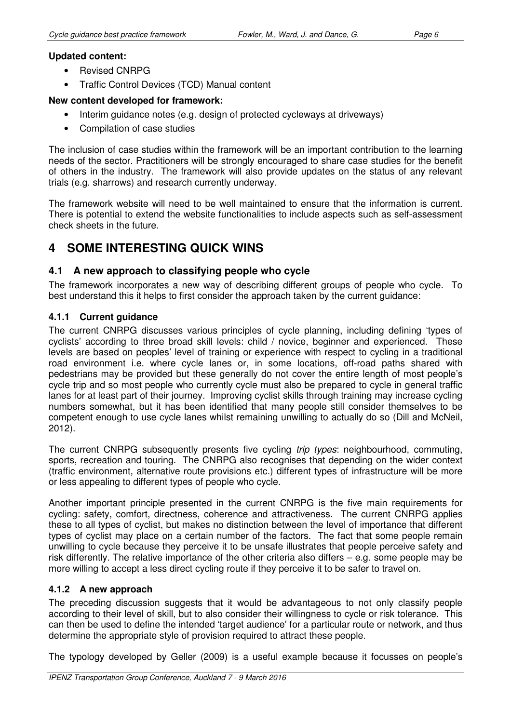### **Updated content:**

- Revised CNRPG
- Traffic Control Devices (TCD) Manual content

#### **New content developed for framework:**

- Interim guidance notes (e.g. design of protected cycleways at driveways)
- Compilation of case studies

The inclusion of case studies within the framework will be an important contribution to the learning needs of the sector. Practitioners will be strongly encouraged to share case studies for the benefit of others in the industry. The framework will also provide updates on the status of any relevant trials (e.g. sharrows) and research currently underway.

The framework website will need to be well maintained to ensure that the information is current. There is potential to extend the website functionalities to include aspects such as self-assessment check sheets in the future.

# **4 SOME INTERESTING QUICK WINS**

### **4.1 A new approach to classifying people who cycle**

The framework incorporates a new way of describing different groups of people who cycle. To best understand this it helps to first consider the approach taken by the current guidance:

#### **4.1.1 Current guidance**

The current CNRPG discusses various principles of cycle planning, including defining 'types of cyclists' according to three broad skill levels: child / novice, beginner and experienced. These levels are based on peoples' level of training or experience with respect to cycling in a traditional road environment i.e. where cycle lanes or, in some locations, off-road paths shared with pedestrians may be provided but these generally do not cover the entire length of most people's cycle trip and so most people who currently cycle must also be prepared to cycle in general traffic lanes for at least part of their journey. Improving cyclist skills through training may increase cycling numbers somewhat, but it has been identified that many people still consider themselves to be competent enough to use cycle lanes whilst remaining unwilling to actually do so (Dill and McNeil, 2012).

The current CNRPG subsequently presents five cycling trip types: neighbourhood, commuting, sports, recreation and touring. The CNRPG also recognises that depending on the wider context (traffic environment, alternative route provisions etc.) different types of infrastructure will be more or less appealing to different types of people who cycle.

Another important principle presented in the current CNRPG is the five main requirements for cycling: safety, comfort, directness, coherence and attractiveness. The current CNRPG applies these to all types of cyclist, but makes no distinction between the level of importance that different types of cyclist may place on a certain number of the factors. The fact that some people remain unwilling to cycle because they perceive it to be unsafe illustrates that people perceive safety and risk differently. The relative importance of the other criteria also differs – e.g. some people may be more willing to accept a less direct cycling route if they perceive it to be safer to travel on.

### **4.1.2 A new approach**

The preceding discussion suggests that it would be advantageous to not only classify people according to their level of skill, but to also consider their willingness to cycle or risk tolerance. This can then be used to define the intended 'target audience' for a particular route or network, and thus determine the appropriate style of provision required to attract these people.

The typology developed by Geller (2009) is a useful example because it focusses on people's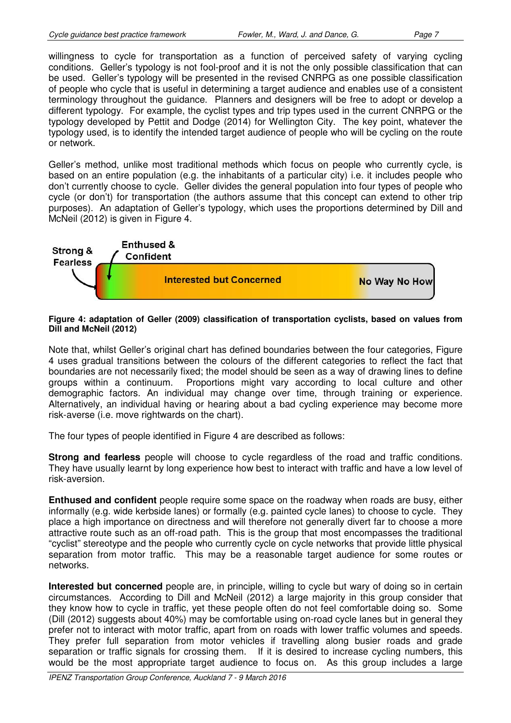willingness to cycle for transportation as a function of perceived safety of varying cycling conditions. Geller's typology is not fool-proof and it is not the only possible classification that can be used. Geller's typology will be presented in the revised CNRPG as one possible classification of people who cycle that is useful in determining a target audience and enables use of a consistent terminology throughout the guidance. Planners and designers will be free to adopt or develop a different typology. For example, the cyclist types and trip types used in the current CNRPG or the typology developed by Pettit and Dodge (2014) for Wellington City. The key point, whatever the typology used, is to identify the intended target audience of people who will be cycling on the route or network.

Geller's method, unlike most traditional methods which focus on people who currently cycle, is based on an entire population (e.g. the inhabitants of a particular city) i.e. it includes people who don't currently choose to cycle. Geller divides the general population into four types of people who cycle (or don't) for transportation (the authors assume that this concept can extend to other trip purposes). An adaptation of Geller's typology, which uses the proportions determined by Dill and McNeil (2012) is given in Figure 4.



#### **Figure 4: adaptation of Geller (2009) classification of transportation cyclists, based on values from Dill and McNeil (2012)**

Note that, whilst Geller's original chart has defined boundaries between the four categories, Figure 4 uses gradual transitions between the colours of the different categories to reflect the fact that boundaries are not necessarily fixed; the model should be seen as a way of drawing lines to define groups within a continuum. Proportions might vary according to local culture and other demographic factors. An individual may change over time, through training or experience. Alternatively, an individual having or hearing about a bad cycling experience may become more risk-averse (i.e. move rightwards on the chart).

The four types of people identified in Figure 4 are described as follows:

**Strong and fearless** people will choose to cycle regardless of the road and traffic conditions. They have usually learnt by long experience how best to interact with traffic and have a low level of risk-aversion.

**Enthused and confident** people require some space on the roadway when roads are busy, either informally (e.g. wide kerbside lanes) or formally (e.g. painted cycle lanes) to choose to cycle. They place a high importance on directness and will therefore not generally divert far to choose a more attractive route such as an off-road path. This is the group that most encompasses the traditional "cyclist" stereotype and the people who currently cycle on cycle networks that provide little physical separation from motor traffic. This may be a reasonable target audience for some routes or networks.

**Interested but concerned** people are, in principle, willing to cycle but wary of doing so in certain circumstances. According to Dill and McNeil (2012) a large majority in this group consider that they know how to cycle in traffic, yet these people often do not feel comfortable doing so. Some (Dill (2012) suggests about 40%) may be comfortable using on-road cycle lanes but in general they prefer not to interact with motor traffic, apart from on roads with lower traffic volumes and speeds. They prefer full separation from motor vehicles if travelling along busier roads and grade separation or traffic signals for crossing them. If it is desired to increase cycling numbers, this would be the most appropriate target audience to focus on. As this group includes a large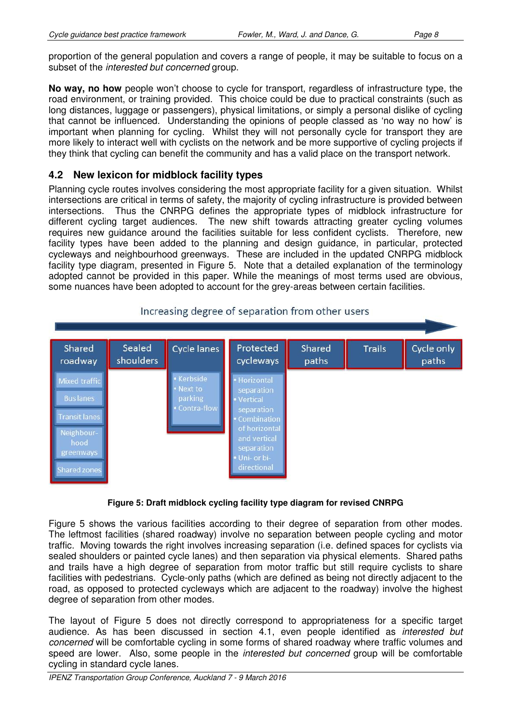proportion of the general population and covers a range of people, it may be suitable to focus on a subset of the interested but concerned group.

**No way, no how** people won't choose to cycle for transport, regardless of infrastructure type, the road environment, or training provided. This choice could be due to practical constraints (such as long distances, luggage or passengers), physical limitations, or simply a personal dislike of cycling that cannot be influenced. Understanding the opinions of people classed as 'no way no how' is important when planning for cycling. Whilst they will not personally cycle for transport they are more likely to interact well with cyclists on the network and be more supportive of cycling projects if they think that cycling can benefit the community and has a valid place on the transport network.

### **4.2 New lexicon for midblock facility types**

Planning cycle routes involves considering the most appropriate facility for a given situation. Whilst intersections are critical in terms of safety, the majority of cycling infrastructure is provided between intersections. Thus the CNRPG defines the appropriate types of midblock infrastructure for different cycling target audiences. The new shift towards attracting greater cycling volumes requires new guidance around the facilities suitable for less confident cyclists. Therefore, new facility types have been added to the planning and design guidance, in particular, protected cycleways and neighbourhood greenways. These are included in the updated CNRPG midblock facility type diagram, presented in Figure 5. Note that a detailed explanation of the terminology adopted cannot be provided in this paper. While the meanings of most terms used are obvious, some nuances have been adopted to account for the grey-areas between certain facilities.



### Increasing degree of separation from other users

#### **Figure 5: Draft midblock cycling facility type diagram for revised CNRPG**

Figure 5 shows the various facilities according to their degree of separation from other modes. The leftmost facilities (shared roadway) involve no separation between people cycling and motor traffic. Moving towards the right involves increasing separation (i.e. defined spaces for cyclists via sealed shoulders or painted cycle lanes) and then separation via physical elements. Shared paths and trails have a high degree of separation from motor traffic but still require cyclists to share facilities with pedestrians. Cycle-only paths (which are defined as being not directly adjacent to the road, as opposed to protected cycleways which are adjacent to the roadway) involve the highest degree of separation from other modes.

The layout of Figure 5 does not directly correspond to appropriateness for a specific target audience. As has been discussed in section 4.1, even people identified as interested but concerned will be comfortable cycling in some forms of shared roadway where traffic volumes and speed are lower. Also, some people in the *interested but concerned* group will be comfortable cycling in standard cycle lanes.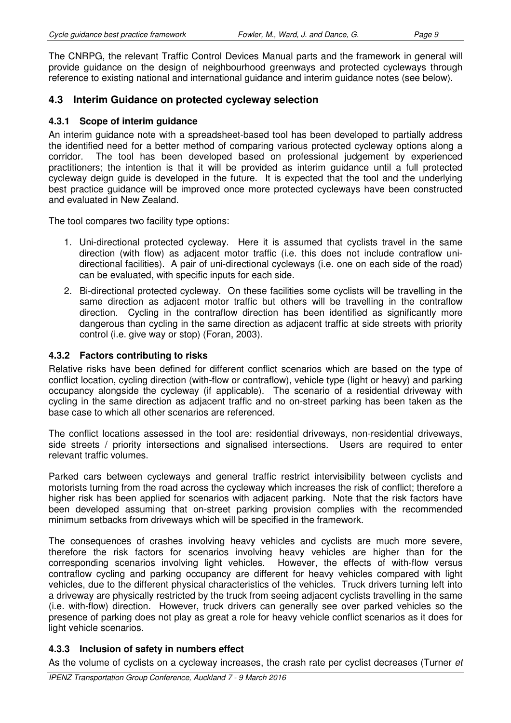The CNRPG, the relevant Traffic Control Devices Manual parts and the framework in general will provide guidance on the design of neighbourhood greenways and protected cycleways through reference to existing national and international guidance and interim guidance notes (see below).

### **4.3 Interim Guidance on protected cycleway selection**

#### **4.3.1 Scope of interim guidance**

An interim guidance note with a spreadsheet-based tool has been developed to partially address the identified need for a better method of comparing various protected cycleway options along a corridor. The tool has been developed based on professional judgement by experienced practitioners; the intention is that it will be provided as interim guidance until a full protected cycleway deign guide is developed in the future. It is expected that the tool and the underlying best practice guidance will be improved once more protected cycleways have been constructed and evaluated in New Zealand.

The tool compares two facility type options:

- 1. Uni-directional protected cycleway. Here it is assumed that cyclists travel in the same direction (with flow) as adjacent motor traffic (i.e. this does not include contraflow unidirectional facilities). A pair of uni-directional cycleways (i.e. one on each side of the road) can be evaluated, with specific inputs for each side.
- 2. Bi-directional protected cycleway. On these facilities some cyclists will be travelling in the same direction as adjacent motor traffic but others will be travelling in the contraflow direction. Cycling in the contraflow direction has been identified as significantly more dangerous than cycling in the same direction as adjacent traffic at side streets with priority control (i.e. give way or stop) (Foran, 2003).

#### **4.3.2 Factors contributing to risks**

Relative risks have been defined for different conflict scenarios which are based on the type of conflict location, cycling direction (with-flow or contraflow), vehicle type (light or heavy) and parking occupancy alongside the cycleway (if applicable). The scenario of a residential driveway with cycling in the same direction as adjacent traffic and no on-street parking has been taken as the base case to which all other scenarios are referenced.

The conflict locations assessed in the tool are: residential driveways, non-residential driveways, side streets / priority intersections and signalised intersections. Users are required to enter relevant traffic volumes.

Parked cars between cycleways and general traffic restrict intervisibility between cyclists and motorists turning from the road across the cycleway which increases the risk of conflict; therefore a higher risk has been applied for scenarios with adjacent parking. Note that the risk factors have been developed assuming that on-street parking provision complies with the recommended minimum setbacks from driveways which will be specified in the framework.

The consequences of crashes involving heavy vehicles and cyclists are much more severe, therefore the risk factors for scenarios involving heavy vehicles are higher than for the corresponding scenarios involving light vehicles. However, the effects of with-flow versus contraflow cycling and parking occupancy are different for heavy vehicles compared with light vehicles, due to the different physical characteristics of the vehicles. Truck drivers turning left into a driveway are physically restricted by the truck from seeing adjacent cyclists travelling in the same (i.e. with-flow) direction. However, truck drivers can generally see over parked vehicles so the presence of parking does not play as great a role for heavy vehicle conflict scenarios as it does for light vehicle scenarios.

### **4.3.3 Inclusion of safety in numbers effect**

As the volume of cyclists on a cycleway increases, the crash rate per cyclist decreases (Turner *et*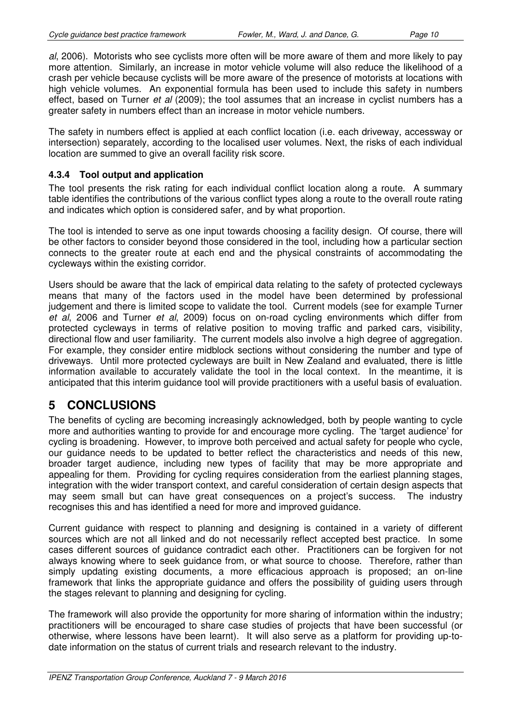al, 2006). Motorists who see cyclists more often will be more aware of them and more likely to pay more attention. Similarly, an increase in motor vehicle volume will also reduce the likelihood of a crash per vehicle because cyclists will be more aware of the presence of motorists at locations with high vehicle volumes. An exponential formula has been used to include this safety in numbers effect, based on Turner et al (2009); the tool assumes that an increase in cyclist numbers has a greater safety in numbers effect than an increase in motor vehicle numbers.

The safety in numbers effect is applied at each conflict location (i.e. each driveway, accessway or intersection) separately, according to the localised user volumes. Next, the risks of each individual location are summed to give an overall facility risk score.

### **4.3.4 Tool output and application**

The tool presents the risk rating for each individual conflict location along a route. A summary table identifies the contributions of the various conflict types along a route to the overall route rating and indicates which option is considered safer, and by what proportion.

The tool is intended to serve as one input towards choosing a facility design. Of course, there will be other factors to consider beyond those considered in the tool, including how a particular section connects to the greater route at each end and the physical constraints of accommodating the cycleways within the existing corridor.

Users should be aware that the lack of empirical data relating to the safety of protected cycleways means that many of the factors used in the model have been determined by professional judgement and there is limited scope to validate the tool. Current models (see for example Turner et al, 2006 and Turner et al, 2009) focus on on-road cycling environments which differ from protected cycleways in terms of relative position to moving traffic and parked cars, visibility, directional flow and user familiarity. The current models also involve a high degree of aggregation. For example, they consider entire midblock sections without considering the number and type of driveways. Until more protected cycleways are built in New Zealand and evaluated, there is little information available to accurately validate the tool in the local context. In the meantime, it is anticipated that this interim guidance tool will provide practitioners with a useful basis of evaluation.

# **5 CONCLUSIONS**

The benefits of cycling are becoming increasingly acknowledged, both by people wanting to cycle more and authorities wanting to provide for and encourage more cycling. The 'target audience' for cycling is broadening. However, to improve both perceived and actual safety for people who cycle, our guidance needs to be updated to better reflect the characteristics and needs of this new, broader target audience, including new types of facility that may be more appropriate and appealing for them. Providing for cycling requires consideration from the earliest planning stages, integration with the wider transport context, and careful consideration of certain design aspects that may seem small but can have great consequences on a project's success. The industry recognises this and has identified a need for more and improved guidance.

Current guidance with respect to planning and designing is contained in a variety of different sources which are not all linked and do not necessarily reflect accepted best practice. In some cases different sources of guidance contradict each other. Practitioners can be forgiven for not always knowing where to seek guidance from, or what source to choose. Therefore, rather than simply updating existing documents, a more efficacious approach is proposed; an on-line framework that links the appropriate guidance and offers the possibility of guiding users through the stages relevant to planning and designing for cycling.

The framework will also provide the opportunity for more sharing of information within the industry; practitioners will be encouraged to share case studies of projects that have been successful (or otherwise, where lessons have been learnt). It will also serve as a platform for providing up-todate information on the status of current trials and research relevant to the industry.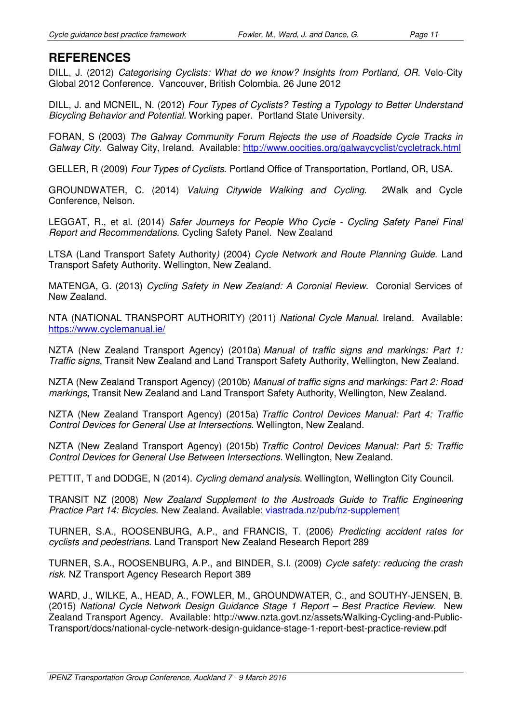DILL, J. (2012) Categorising Cyclists: What do we know? Insights from Portland, OR. Velo-City Global 2012 Conference. Vancouver, British Colombia. 26 June 2012

DILL, J. and MCNEIL, N. (2012) Four Types of Cyclists? Testing a Typology to Better Understand Bicycling Behavior and Potential. Working paper. Portland State University.

FORAN, S (2003) The Galway Community Forum Rejects the use of Roadside Cycle Tracks in Galway City. Galway City, Ireland. Available: http://www.oocities.org/galwaycyclist/cycletrack.html

GELLER, R (2009) Four Types of Cyclists. Portland Office of Transportation, Portland, OR, USA.

GROUNDWATER, C. (2014) Valuing Citywide Walking and Cycling. 2Walk and Cycle Conference, Nelson.

LEGGAT, R., et al. (2014) Safer Journeys for People Who Cycle - Cycling Safety Panel Final Report and Recommendations. Cycling Safety Panel. New Zealand

LTSA (Land Transport Safety Authority) (2004) Cycle Network and Route Planning Guide. Land Transport Safety Authority. Wellington, New Zealand.

MATENGA, G. (2013) Cycling Safety in New Zealand: A Coronial Review. Coronial Services of New Zealand.

NTA (NATIONAL TRANSPORT AUTHORITY) (2011) National Cycle Manual. Ireland. Available: https://www.cyclemanual.ie/

NZTA (New Zealand Transport Agency) (2010a) Manual of traffic signs and markings: Part 1: Traffic signs, Transit New Zealand and Land Transport Safety Authority, Wellington, New Zealand.

NZTA (New Zealand Transport Agency) (2010b) Manual of traffic signs and markings: Part 2: Road markings, Transit New Zealand and Land Transport Safety Authority, Wellington, New Zealand.

NZTA (New Zealand Transport Agency) (2015a) Traffic Control Devices Manual: Part 4: Traffic Control Devices for General Use at Intersections. Wellington, New Zealand.

NZTA (New Zealand Transport Agency) (2015b) Traffic Control Devices Manual: Part 5: Traffic Control Devices for General Use Between Intersections. Wellington, New Zealand.

PETTIT, T and DODGE, N (2014). Cycling demand analysis. Wellington, Wellington City Council.

TRANSIT NZ (2008) New Zealand Supplement to the Austroads Guide to Traffic Engineering Practice Part 14: Bicycles. New Zealand. Available: viastrada.nz/pub/nz-supplement

TURNER, S.A., ROOSENBURG, A.P., and FRANCIS, T. (2006) Predicting accident rates for cyclists and pedestrians. Land Transport New Zealand Research Report 289

TURNER, S.A., ROOSENBURG, A.P., and BINDER, S.I. (2009) Cycle safety: reducing the crash risk. NZ Transport Agency Research Report 389

WARD, J., WILKE, A., HEAD, A., FOWLER, M., GROUNDWATER, C., and SOUTHY-JENSEN, B. (2015) National Cycle Network Design Guidance Stage 1 Report – Best Practice Review. New Zealand Transport Agency. Available: http://www.nzta.govt.nz/assets/Walking-Cycling-and-Public-Transport/docs/national-cycle-network-design-guidance-stage-1-report-best-practice-review.pdf